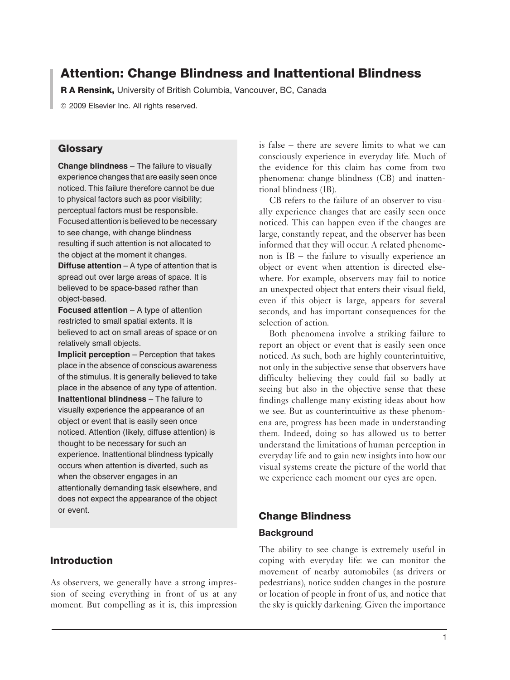# Attention: Change Blindness and Inattentional Blindness

R A Rensink, University of British Columbia, Vancouver, BC, Canada

ã 2009 Elsevier Inc. All rights reserved.

# **Glossary**

Change blindness – The failure to visually experience changes that are easily seen once noticed. This failure therefore cannot be due to physical factors such as poor visibility; perceptual factors must be responsible. Focused attention is believed to be necessary to see change, with change blindness resulting if such attention is not allocated to the object at the moment it changes. **Diffuse attention** – A type of attention that is spread out over large areas of space. It is believed to be space-based rather than object-based.

**Focused attention** – A type of attention restricted to small spatial extents. It is believed to act on small areas of space or on relatively small objects.

Implicit perception – Perception that takes place in the absence of conscious awareness of the stimulus. It is generally believed to take place in the absence of any type of attention. **Inattentional blindness** – The failure to visually experience the appearance of an object or event that is easily seen once noticed. Attention (likely, diffuse attention) is thought to be necessary for such an experience. Inattentional blindness typically occurs when attention is diverted, such as when the observer engages in an attentionally demanding task elsewhere, and does not expect the appearance of the object or event.

# **Introduction**

As observers, we generally have a strong impression of seeing everything in front of us at any moment. But compelling as it is, this impression is false – there are severe limits to what we can consciously experience in everyday life. Much of the evidence for this claim has come from two phenomena: change blindness (CB) and inattentional blindness (IB).

CB refers to the failure of an observer to visually experience changes that are easily seen once noticed. This can happen even if the changes are large, constantly repeat, and the observer has been informed that they will occur. A related phenomenon is IB – the failure to visually experience an object or event when attention is directed elsewhere. For example, observers may fail to notice an unexpected object that enters their visual field, even if this object is large, appears for several seconds, and has important consequences for the selection of action.

Both phenomena involve a striking failure to report an object or event that is easily seen once noticed. As such, both are highly counterintuitive, not only in the subjective sense that observers have difficulty believing they could fail so badly at seeing but also in the objective sense that these findings challenge many existing ideas about how we see. But as counterintuitive as these phenomena are, progress has been made in understanding them. Indeed, doing so has allowed us to better understand the limitations of human perception in everyday life and to gain new insights into how our visual systems create the picture of the world that we experience each moment our eyes are open.

# Change Blindness **Background**

The ability to see change is extremely useful in coping with everyday life: we can monitor the movement of nearby automobiles (as drivers or pedestrians), notice sudden changes in the posture or location of people in front of us, and notice that the sky is quickly darkening. Given the importance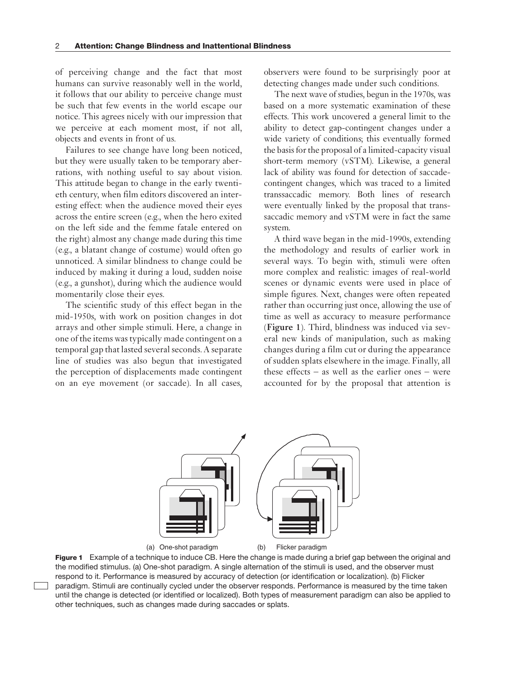<span id="page-1-0"></span>of perceiving change and the fact that most humans can survive reasonably well in the world, it follows that our ability to perceive change must be such that few events in the world escape our notice. This agrees nicely with our impression that we perceive at each moment most, if not all, objects and events in front of us.

Failures to see change have long been noticed, but they were usually taken to be temporary aberrations, with nothing useful to say about vision. This attitude began to change in the early twentieth century, when film editors discovered an interesting effect: when the audience moved their eyes across the entire screen (e.g., when the hero exited on the left side and the femme fatale entered on the right) almost any change made during this time (e.g., a blatant change of costume) would often go unnoticed. A similar blindness to change could be induced by making it during a loud, sudden noise (e.g., a gunshot), during which the audience would momentarily close their eyes.

The scientific study of this effect began in the mid-1950s, with work on position changes in dot arrays and other simple stimuli. Here, a change in one of the items was typically made contingent on a temporal gap that lasted several seconds. A separate line of studies was also begun that investigated the perception of displacements made contingent on an eye movement (or saccade). In all cases, observers were found to be surprisingly poor at detecting changes made under such conditions.

The next wave of studies, begun in the 1970s, was based on a more systematic examination of these effects. This work uncovered a general limit to the ability to detect gap-contingent changes under a wide variety of conditions; this eventually formed the basis for the proposal of a limited-capacity visual short-term memory (vSTM). Likewise, a general lack of ability was found for detection of saccadecontingent changes, which was traced to a limited transsaccadic memory. Both lines of research were eventually linked by the proposal that transsaccadic memory and vSTM were in fact the same system.

A third wave began in the mid-1990s, extending the methodology and results of earlier work in several ways. To begin with, stimuli were often more complex and realistic: images of real-world scenes or dynamic events were used in place of simple figures. Next, changes were often repeated rather than occurring just once, allowing the use of time as well as accuracy to measure performance (Figure 1). Third, blindness was induced via several new kinds of manipulation, such as making changes during a film cut or during the appearance of sudden splats elsewhere in the image. Finally, all these effects  $-$  as well as the earlier ones  $-$  were accounted for by the proposal that attention is



Figure 1 Example of a technique to induce CB. Here the change is made during a brief gap between the original and the modified stimulus. (a) One-shot paradigm. A single alternation of the stimuli is used, and the observer must respond to it. Performance is measured by accuracy of detection (or identification or localization). (b) Flicker paradigm. Stimuli are continually cycled under the observer responds. Performance is measured by the time taken until the change is detected (or identified or localized). Both types of measurement paradigm can also be applied to other techniques, such as changes made during saccades or splats.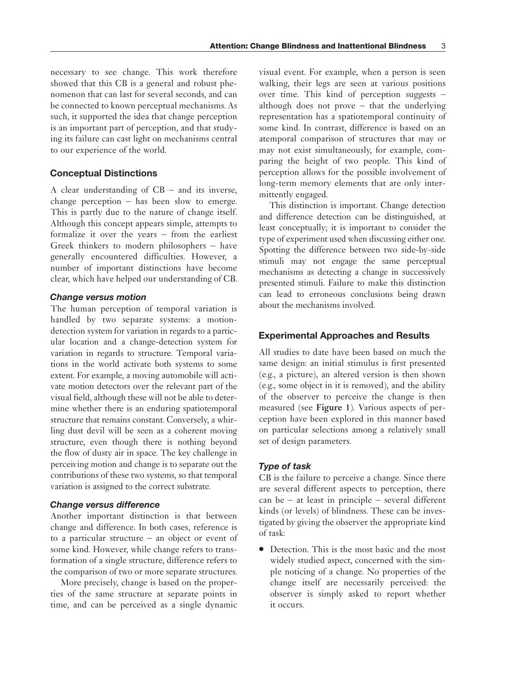necessary to see change. This work therefore showed that this CB is a general and robust phenomenon that can last for several seconds, and can be connected to known perceptual mechanisms. As such, it supported the idea that change perception is an important part of perception, and that studying its failure can cast light on mechanisms central to our experience of the world.

## **Conceptual Distinctions**

A clear understanding of  $CB -$  and its inverse, change perception – has been slow to emerge. This is partly due to the nature of change itself. Although this concept appears simple, attempts to formalize it over the years – from the earliest Greek thinkers to modern philosophers – have generally encountered difficulties. However, a number of important distinctions have become clear, which have helped our understanding of CB.

#### **Change versus motion**

The human perception of temporal variation is handled by two separate systems: a motiondetection system for variation in regards to a particular location and a change-detection system for variation in regards to structure. Temporal variations in the world activate both systems to some extent. For example, a moving automobile will activate motion detectors over the relevant part of the visual field, although these will not be able to determine whether there is an enduring spatiotemporal structure that remains constant. Conversely, a whirling dust devil will be seen as a coherent moving structure, even though there is nothing beyond the flow of dusty air in space. The key challenge in perceiving motion and change is to separate out the contributions of these two systems, so that temporal variation is assigned to the correct substrate.

#### Change versus difference

Another important distinction is that between change and difference. In both cases, reference is to a particular structure – an object or event of some kind. However, while change refers to transformation of a single structure, difference refers to the comparison of two or more separate structures.

More precisely, change is based on the properties of the same structure at separate points in time, and can be perceived as a single dynamic visual event. For example, when a person is seen walking, their legs are seen at various positions over time. This kind of perception suggests – although does not prove – that the underlying representation has a spatiotemporal continuity of some kind. In contrast, difference is based on an atemporal comparison of structures that may or may not exist simultaneously, for example, comparing the height of two people. This kind of perception allows for the possible involvement of long-term memory elements that are only intermittently engaged.

This distinction is important. Change detection and difference detection can be distinguished, at least conceptually; it is important to consider the type of experiment used when discussing either one. Spotting the difference between two side-by-side stimuli may not engage the same perceptual mechanisms as detecting a change in successively presented stimuli. Failure to make this distinction can lead to erroneous conclusions being drawn about the mechanisms involved.

## Experimental Approaches and Results

All studies to date have been based on much the same design: an initial stimulus is first presented (e.g., a picture), an altered version is then shown (e.g., some object in it is removed), and the ability of the observer to perceive the change is then measured (see [Figure 1](#page-1-0)). Various aspects of perception have been explored in this manner based on particular selections among a relatively small set of design parameters.

#### Type of task

CB is the failure to perceive a change. Since there are several different aspects to perception, there can be – at least in principle – several different kinds (or levels) of blindness. These can be investigated by giving the observer the appropriate kind of task:

. Detection. This is the most basic and the most widely studied aspect, concerned with the simple noticing of a change. No properties of the change itself are necessarily perceived: the observer is simply asked to report whether it occurs.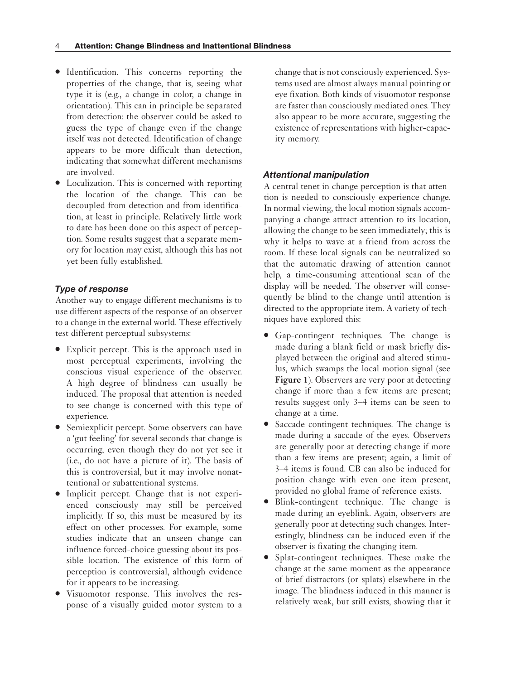- . Identification. This concerns reporting the properties of the change, that is, seeing what type it is (e.g., a change in color, a change in orientation). This can in principle be separated from detection: the observer could be asked to guess the type of change even if the change itself was not detected. Identification of change appears to be more difficult than detection, indicating that somewhat different mechanisms are involved.
- . Localization. This is concerned with reporting the location of the change. This can be decoupled from detection and from identification, at least in principle. Relatively little work to date has been done on this aspect of perception. Some results suggest that a separate memory for location may exist, although this has not yet been fully established.

## Type of response

Another way to engage different mechanisms is to use different aspects of the response of an observer to a change in the external world. These effectively test different perceptual subsystems:

- . Explicit percept. This is the approach used in most perceptual experiments, involving the conscious visual experience of the observer. A high degree of blindness can usually be induced. The proposal that attention is needed to see change is concerned with this type of experience.
- . Semiexplicit percept. Some observers can have a 'gut feeling' for several seconds that change is occurring, even though they do not yet see it (i.e., do not have a picture of it). The basis of this is controversial, but it may involve nonattentional or subattentional systems.
- . Implicit percept. Change that is not experienced consciously may still be perceived implicitly. If so, this must be measured by its effect on other processes. For example, some studies indicate that an unseen change can influence forced-choice guessing about its possible location. The existence of this form of perception is controversial, although evidence for it appears to be increasing.
- . Visuomotor response. This involves the response of a visually guided motor system to a

change that is not consciously experienced. Systems used are almost always manual pointing or eye fixation. Both kinds of visuomotor response are faster than consciously mediated ones. They also appear to be more accurate, suggesting the existence of representations with higher-capacity memory.

## Attentional manipulation

A central tenet in change perception is that attention is needed to consciously experience change. In normal viewing, the local motion signals accompanying a change attract attention to its location, allowing the change to be seen immediately; this is why it helps to wave at a friend from across the room. If these local signals can be neutralized so that the automatic drawing of attention cannot help, a time-consuming attentional scan of the display will be needed. The observer will consequently be blind to the change until attention is directed to the appropriate item. A variety of techniques have explored this:

- . Gap-contingent techniques. The change is made during a blank field or mask briefly displayed between the original and altered stimulus, which swamps the local motion signal (see [Figure 1](#page-1-0)). Observers are very poor at detecting change if more than a few items are present; results suggest only 3–4 items can be seen to change at a time.
- . Saccade-contingent techniques. The change is made during a saccade of the eyes. Observers are generally poor at detecting change if more than a few items are present; again, a limit of 3–4 items is found. CB can also be induced for position change with even one item present, provided no global frame of reference exists.
- . Blink-contingent technique. The change is made during an eyeblink. Again, observers are generally poor at detecting such changes. Interestingly, blindness can be induced even if the observer is fixating the changing item.
- . Splat-contingent techniques. These make the change at the same moment as the appearance of brief distractors (or splats) elsewhere in the image. The blindness induced in this manner is relatively weak, but still exists, showing that it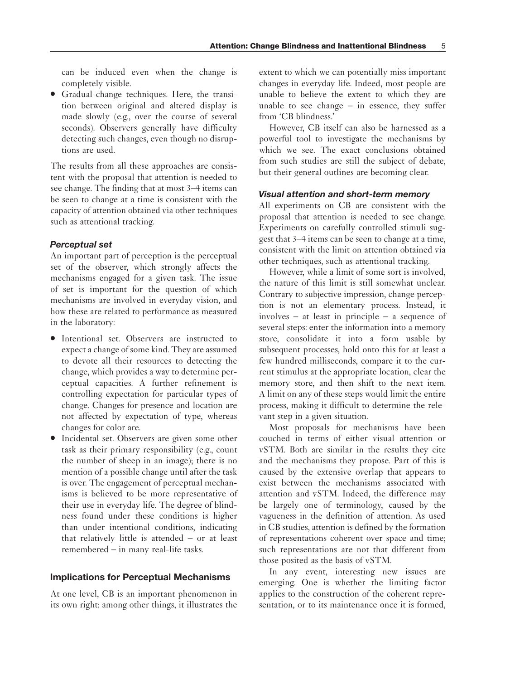can be induced even when the change is completely visible.

. Gradual-change techniques. Here, the transition between original and altered display is made slowly (e.g., over the course of several seconds). Observers generally have difficulty detecting such changes, even though no disruptions are used.

The results from all these approaches are consistent with the proposal that attention is needed to see change. The finding that at most 3–4 items can be seen to change at a time is consistent with the capacity of attention obtained via other techniques such as attentional tracking.

## Perceptual set

An important part of perception is the perceptual set of the observer, which strongly affects the mechanisms engaged for a given task. The issue of set is important for the question of which mechanisms are involved in everyday vision, and how these are related to performance as measured in the laboratory:

- . Intentional set. Observers are instructed to expect a change of some kind. They are assumed to devote all their resources to detecting the change, which provides a way to determine perceptual capacities. A further refinement is controlling expectation for particular types of change. Changes for presence and location are not affected by expectation of type, whereas changes for color are.
- . Incidental set. Observers are given some other task as their primary responsibility (e.g., count the number of sheep in an image); there is no mention of a possible change until after the task is over. The engagement of perceptual mechanisms is believed to be more representative of their use in everyday life. The degree of blindness found under these conditions is higher than under intentional conditions, indicating that relatively little is attended – or at least remembered – in many real-life tasks.

## Implications for Perceptual Mechanisms

At one level, CB is an important phenomenon in its own right: among other things, it illustrates the extent to which we can potentially miss important changes in everyday life. Indeed, most people are unable to believe the extent to which they are unable to see change  $-$  in essence, they suffer from 'CB blindness.'

However, CB itself can also be harnessed as a powerful tool to investigate the mechanisms by which we see. The exact conclusions obtained from such studies are still the subject of debate, but their general outlines are becoming clear.

#### Visual attention and short-term memory

All experiments on CB are consistent with the proposal that attention is needed to see change. Experiments on carefully controlled stimuli suggest that 3–4 items can be seen to change at a time, consistent with the limit on attention obtained via other techniques, such as attentional tracking.

However, while a limit of some sort is involved, the nature of this limit is still somewhat unclear. Contrary to subjective impression, change perception is not an elementary process. Instead, it involves – at least in principle – a sequence of several steps: enter the information into a memory store, consolidate it into a form usable by subsequent processes, hold onto this for at least a few hundred milliseconds, compare it to the current stimulus at the appropriate location, clear the memory store, and then shift to the next item. A limit on any of these steps would limit the entire process, making it difficult to determine the relevant step in a given situation.

Most proposals for mechanisms have been couched in terms of either visual attention or vSTM. Both are similar in the results they cite and the mechanisms they propose. Part of this is caused by the extensive overlap that appears to exist between the mechanisms associated with attention and vSTM. Indeed, the difference may be largely one of terminology, caused by the vagueness in the definition of attention. As used in CB studies, attention is defined by the formation of representations coherent over space and time; such representations are not that different from those posited as the basis of vSTM.

In any event, interesting new issues are emerging. One is whether the limiting factor applies to the construction of the coherent representation, or to its maintenance once it is formed,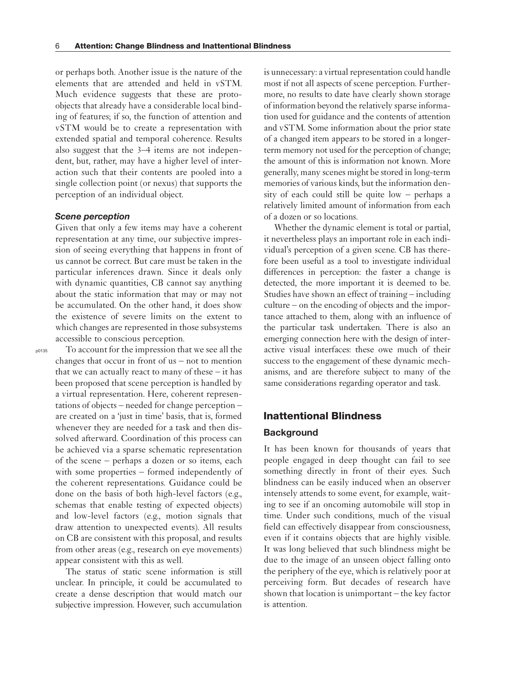or perhaps both. Another issue is the nature of the elements that are attended and held in vSTM. Much evidence suggests that these are protoobjects that already have a considerable local binding of features; if so, the function of attention and vSTM would be to create a representation with extended spatial and temporal coherence. Results also suggest that the 3–4 items are not independent, but, rather, may have a higher level of interaction such that their contents are pooled into a single collection point (or nexus) that supports the perception of an individual object.

#### Scene perception

Given that only a few items may have a coherent representation at any time, our subjective impression of seeing everything that happens in front of us cannot be correct. But care must be taken in the particular inferences drawn. Since it deals only with dynamic quantities, CB cannot say anything about the static information that may or may not be accumulated. On the other hand, it does show the existence of severe limits on the extent to which changes are represented in those subsystems accessible to conscious perception.

p0135 To account for the impression that we see all the changes that occur in front of us – not to mention that we can actually react to many of these  $-$  it has been proposed that scene perception is handled by a virtual representation. Here, coherent representations of objects – needed for change perception – are created on a 'just in time' basis, that is, formed whenever they are needed for a task and then dissolved afterward. Coordination of this process can be achieved via a sparse schematic representation of the scene – perhaps a dozen or so items, each with some properties – formed independently of the coherent representations. Guidance could be done on the basis of both high-level factors (e.g., schemas that enable testing of expected objects) and low-level factors (e.g., motion signals that draw attention to unexpected events). All results on CB are consistent with this proposal, and results from other areas (e.g., research on eye movements) appear consistent with this as well.

The status of static scene information is still unclear. In principle, it could be accumulated to create a dense description that would match our subjective impression. However, such accumulation

is unnecessary: a virtual representation could handle most if not all aspects of scene perception. Furthermore, no results to date have clearly shown storage of information beyond the relatively sparse information used for guidance and the contents of attention and vSTM. Some information about the prior state of a changed item appears to be stored in a longerterm memory not used for the perception of change; the amount of this is information not known. More generally, many scenes might be stored in long-term memories of various kinds, but the information density of each could still be quite low – perhaps a relatively limited amount of information from each of a dozen or so locations.

Whether the dynamic element is total or partial, it nevertheless plays an important role in each individual's perception of a given scene. CB has therefore been useful as a tool to investigate individual differences in perception: the faster a change is detected, the more important it is deemed to be. Studies have shown an effect of training – including culture – on the encoding of objects and the importance attached to them, along with an influence of the particular task undertaken. There is also an emerging connection here with the design of interactive visual interfaces: these owe much of their success to the engagement of these dynamic mechanisms, and are therefore subject to many of the same considerations regarding operator and task.

## Inattentional Blindness

#### **Background**

It has been known for thousands of years that people engaged in deep thought can fail to see something directly in front of their eyes. Such blindness can be easily induced when an observer intensely attends to some event, for example, waiting to see if an oncoming automobile will stop in time. Under such conditions, much of the visual field can effectively disappear from consciousness, even if it contains objects that are highly visible. It was long believed that such blindness might be due to the image of an unseen object falling onto the periphery of the eye, which is relatively poor at perceiving form. But decades of research have shown that location is unimportant – the key factor is attention.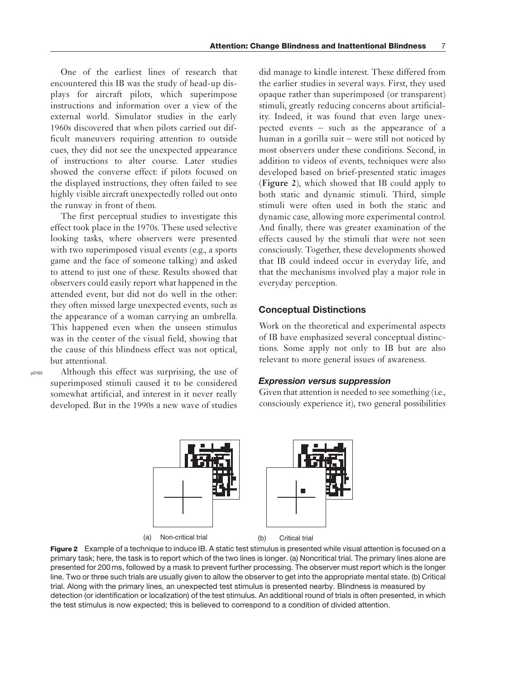<span id="page-6-0"></span>One of the earliest lines of research that encountered this IB was the study of head-up displays for aircraft pilots, which superimpose instructions and information over a view of the external world. Simulator studies in the early 1960s discovered that when pilots carried out difficult maneuvers requiring attention to outside cues, they did not see the unexpected appearance of instructions to alter course. Later studies showed the converse effect: if pilots focused on the displayed instructions, they often failed to see highly visible aircraft unexpectedly rolled out onto the runway in front of them.

The first perceptual studies to investigate this effect took place in the 1970s. These used selective looking tasks, where observers were presented with two superimposed visual events (e.g., a sports game and the face of someone talking) and asked to attend to just one of these. Results showed that observers could easily report what happened in the attended event, but did not do well in the other: they often missed large unexpected events, such as the appearance of a woman carrying an umbrella. This happened even when the unseen stimulus was in the center of the visual field, showing that the cause of this blindness effect was not optical, but attentional.

p0165 Although this effect was surprising, the use of superimposed stimuli caused it to be considered somewhat artificial, and interest in it never really developed. But in the 1990s a new wave of studies

did manage to kindle interest. These differed from the earlier studies in several ways. First, they used opaque rather than superimposed (or transparent) stimuli, greatly reducing concerns about artificiality. Indeed, it was found that even large unexpected events – such as the appearance of a human in a gorilla suit – were still not noticed by most observers under these conditions. Second, in addition to videos of events, techniques were also developed based on brief-presented static images (Figure 2), which showed that IB could apply to both static and dynamic stimuli. Third, simple stimuli were often used in both the static and dynamic case, allowing more experimental control. And finally, there was greater examination of the effects caused by the stimuli that were not seen consciously. Together, these developments showed that IB could indeed occur in everyday life, and that the mechanisms involved play a major role in everyday perception.

## Conceptual Distinctions

Work on the theoretical and experimental aspects of IB have emphasized several conceptual distinctions. Some apply not only to IB but are also relevant to more general issues of awareness.

### Expression versus suppression

Given that attention is needed to see something (i.e., consciously experience it), two general possibilities



Figure 2 Example of a technique to induce IB. A static test stimulus is presented while visual attention is focused on a primary task; here, the task is to report which of the two lines is longer. (a) Noncritical trial. The primary lines alone are presented for 200 ms, followed by a mask to prevent further processing. The observer must report which is the longer line. Two or three such trials are usually given to allow the observer to get into the appropriate mental state. (b) Critical trial. Along with the primary lines, an unexpected test stimulus is presented nearby. Blindness is measured by detection (or identification or localization) of the test stimulus. An additional round of trials is often presented, in which the test stimulus is now expected; this is believed to correspond to a condition of divided attention.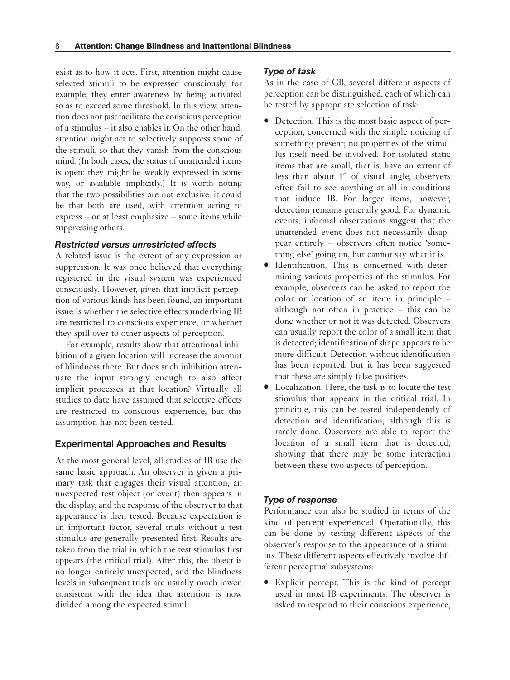exist as to how it acts. First, attention might cause selected stimuli to be expressed consciously, for example, they enter awareness by being activated so as to exceed some threshold. In this view, attention does not just facilitate the conscious perception of a stimulus – it also enables it. On the other hand, attention might act to selectively suppress some of the stimuli, so that they vanish from the conscious mind. (In both cases, the status of unattended items is open: they might be weakly expressed in some way, or available implicitly.) It is worth noting that the two possibilities are not exclusive: it could be that both are used, with attention acting to express – or at least emphasize – some items while suppressing others.

## Restricted versus unrestricted effects

A related issue is the extent of any expression or suppression. It was once believed that everything registered in the visual system was experienced consciously. However, given that implicit perception of various kinds has been found, an important issue is whether the selective effects underlying IB are restricted to conscious experience, or whether they spill over to other aspects of perception.

For example, results show that attentional inhibition of a given location will increase the amount of blindness there. But does such inhibition attenuate the input strongly enough to also affect implicit processes at that location? Virtually all studies to date have assumed that selective effects are restricted to conscious experience, but this assumption has not been tested.

## **Experimental Approaches and Results**

At the most general level, all studies of IB use the same basic approach. An observer is given a primary task that engages their visual attention, an unexpected test object (or event) then appears in the display, and the response of the observer to that appearance is then tested. Because expectation is an important factor, several trials without a test stimulus are generally presented first. Results are taken from the trial in which the test stimulus first appears (the critical trial). After this, the object is no longer entirely unexpected, and the blindness levels in subsequent trials are usually much lower, consistent with the idea that attention is now divided among the expected stimuli.

## Type of task

As in the case of CB, several different aspects of perception can be distinguished, each of which can be tested by appropriate selection of task:

- . Detection. This is the most basic aspect of perception, concerned with the simple noticing of something present; no properties of the stimulus itself need be involved. For isolated static items that are small, that is, have an extent of less than about  $1^\circ$  of visual angle, observers often fail to see anything at all in conditions that induce IB. For larger items, however, detection remains generally good. For dynamic events, informal observations suggest that the unattended event does not necessarily disappear entirely – observers often notice 'something else' going on, but cannot say what it is.
- . Identification. This is concerned with determining various properties of the stimulus. For example, observers can be asked to report the color or location of an item; in principle – although not often in practice – this can be done whether or not it was detected. Observers can usually report the color of a small item that is detected; identification of shape appears to be more difficult. Detection without identification has been reported, but it has been suggested that these are simply false positives.
- . Localization. Here, the task is to locate the test stimulus that appears in the critical trial. In principle, this can be tested independently of detection and identification, although this is rarely done. Observers are able to report the location of a small item that is detected, showing that there may be some interaction between these two aspects of perception.

## Type of response

Performance can also be studied in terms of the kind of percept experienced. Operationally, this can be done by testing different aspects of the observer's response to the appearance of a stimulus. These different aspects effectively involve different perceptual subsystems:

. Explicit percept. This is the kind of percept used in most IB experiments. The observer is asked to respond to their conscious experience,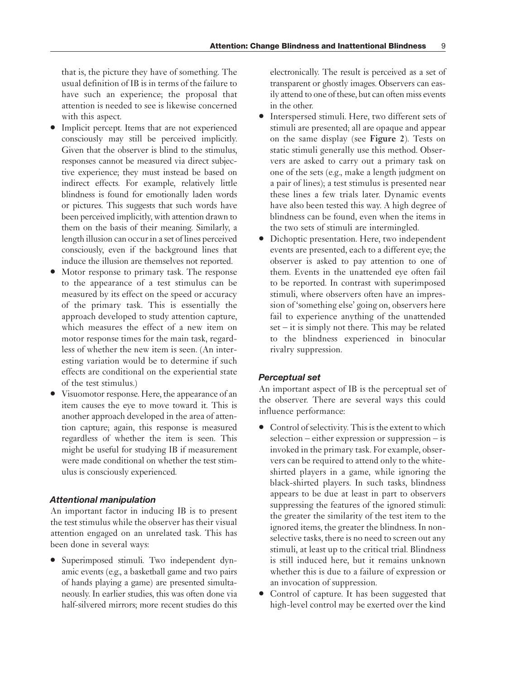that is, the picture they have of something. The usual definition of IB is in terms of the failure to have such an experience; the proposal that attention is needed to see is likewise concerned with this aspect.

- . Implicit percept. Items that are not experienced consciously may still be perceived implicitly. Given that the observer is blind to the stimulus, responses cannot be measured via direct subjective experience; they must instead be based on indirect effects. For example, relatively little blindness is found for emotionally laden words or pictures. This suggests that such words have been perceived implicitly, with attention drawn to them on the basis of their meaning. Similarly, a length illusion can occur in a set of lines perceived consciously, even if the background lines that induce the illusion are themselves not reported.
- . Motor response to primary task. The response to the appearance of a test stimulus can be measured by its effect on the speed or accuracy of the primary task. This is essentially the approach developed to study attention capture, which measures the effect of a new item on motor response times for the main task, regardless of whether the new item is seen. (An interesting variation would be to determine if such effects are conditional on the experiential state of the test stimulus.)
- . Visuomotor response. Here, the appearance of an item causes the eye to move toward it. This is another approach developed in the area of attention capture; again, this response is measured regardless of whether the item is seen. This might be useful for studying IB if measurement were made conditional on whether the test stimulus is consciously experienced.

#### **Attentional manipulation**

An important factor in inducing IB is to present the test stimulus while the observer has their visual attention engaged on an unrelated task. This has been done in several ways:

. Superimposed stimuli. Two independent dynamic events (e.g., a basketball game and two pairs of hands playing a game) are presented simultaneously. In earlier studies, this was often done via half-silvered mirrors; more recent studies do this electronically. The result is perceived as a set of transparent or ghostly images. Observers can easily attend to one of these, but can often miss events in the other.

- . Interspersed stimuli. Here, two different sets of stimuli are presented; all are opaque and appear on the same display (see [Figure 2](#page-6-0)). Tests on static stimuli generally use this method. Observers are asked to carry out a primary task on one of the sets (e.g., make a length judgment on a pair of lines); a test stimulus is presented near these lines a few trials later. Dynamic events have also been tested this way. A high degree of blindness can be found, even when the items in the two sets of stimuli are intermingled.
- . Dichoptic presentation. Here, two independent events are presented, each to a different eye; the observer is asked to pay attention to one of them. Events in the unattended eye often fail to be reported. In contrast with superimposed stimuli, where observers often have an impression of 'something else' going on, observers here fail to experience anything of the unattended set – it is simply not there. This may be related to the blindness experienced in binocular rivalry suppression.

#### Perceptual set

An important aspect of IB is the perceptual set of the observer. There are several ways this could influence performance:

- . Control of selectivity. This is the extent to which selection – either expression or suppression – is invoked in the primary task. For example, observers can be required to attend only to the whiteshirted players in a game, while ignoring the black-shirted players. In such tasks, blindness appears to be due at least in part to observers suppressing the features of the ignored stimuli: the greater the similarity of the test item to the ignored items, the greater the blindness. In nonselective tasks, there is no need to screen out any stimuli, at least up to the critical trial. Blindness is still induced here, but it remains unknown whether this is due to a failure of expression or an invocation of suppression.
- . Control of capture. It has been suggested that high-level control may be exerted over the kind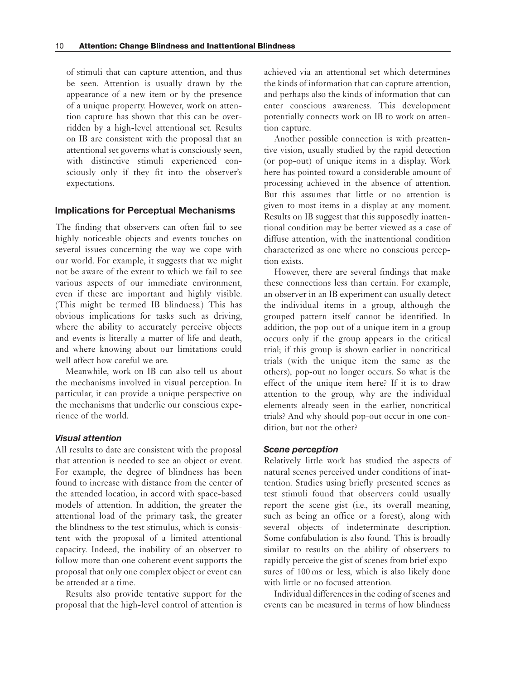of stimuli that can capture attention, and thus be seen. Attention is usually drawn by the appearance of a new item or by the presence of a unique property. However, work on attention capture has shown that this can be overridden by a high-level attentional set. Results on IB are consistent with the proposal that an attentional set governs what is consciously seen, with distinctive stimuli experienced consciously only if they fit into the observer's expectations.

#### Implications for Perceptual Mechanisms

The finding that observers can often fail to see highly noticeable objects and events touches on several issues concerning the way we cope with our world. For example, it suggests that we might not be aware of the extent to which we fail to see various aspects of our immediate environment, even if these are important and highly visible. (This might be termed IB blindness.) This has obvious implications for tasks such as driving, where the ability to accurately perceive objects and events is literally a matter of life and death, and where knowing about our limitations could well affect how careful we are.

Meanwhile, work on IB can also tell us about the mechanisms involved in visual perception. In particular, it can provide a unique perspective on the mechanisms that underlie our conscious experience of the world.

# **Visual attention**

All results to date are consistent with the proposal that attention is needed to see an object or event. For example, the degree of blindness has been found to increase with distance from the center of the attended location, in accord with space-based models of attention. In addition, the greater the attentional load of the primary task, the greater the blindness to the test stimulus, which is consistent with the proposal of a limited attentional capacity. Indeed, the inability of an observer to follow more than one coherent event supports the proposal that only one complex object or event can be attended at a time.

Results also provide tentative support for the proposal that the high-level control of attention is achieved via an attentional set which determines the kinds of information that can capture attention, and perhaps also the kinds of information that can enter conscious awareness. This development potentially connects work on IB to work on attention capture.

Another possible connection is with preattentive vision, usually studied by the rapid detection (or pop-out) of unique items in a display. Work here has pointed toward a considerable amount of processing achieved in the absence of attention. But this assumes that little or no attention is given to most items in a display at any moment. Results on IB suggest that this supposedly inattentional condition may be better viewed as a case of diffuse attention, with the inattentional condition characterized as one where no conscious perception exists.

However, there are several findings that make these connections less than certain. For example, an observer in an IB experiment can usually detect the individual items in a group, although the grouped pattern itself cannot be identified. In addition, the pop-out of a unique item in a group occurs only if the group appears in the critical trial; if this group is shown earlier in noncritical trials (with the unique item the same as the others), pop-out no longer occurs. So what is the effect of the unique item here? If it is to draw attention to the group, why are the individual elements already seen in the earlier, noncritical trials? And why should pop-out occur in one condition, but not the other?

### Scene perception

Relatively little work has studied the aspects of natural scenes perceived under conditions of inattention. Studies using briefly presented scenes as test stimuli found that observers could usually report the scene gist (i.e., its overall meaning, such as being an office or a forest), along with several objects of indeterminate description. Some confabulation is also found. This is broadly similar to results on the ability of observers to rapidly perceive the gist of scenes from brief exposures of 100 ms or less, which is also likely done with little or no focused attention.

Individual differences in the coding of scenes and events can be measured in terms of how blindness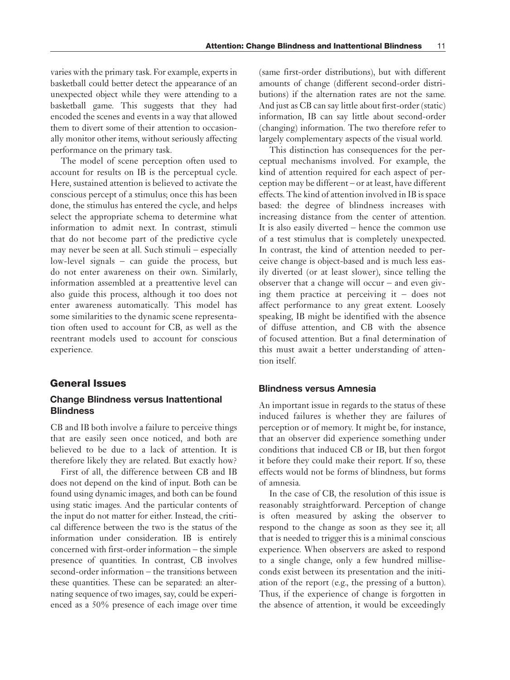varies with the primary task. For example, experts in basketball could better detect the appearance of an unexpected object while they were attending to a basketball game. This suggests that they had encoded the scenes and events in a way that allowed them to divert some of their attention to occasionally monitor other items, without seriously affecting performance on the primary task.

The model of scene perception often used to account for results on IB is the perceptual cycle. Here, sustained attention is believed to activate the conscious percept of a stimulus; once this has been done, the stimulus has entered the cycle, and helps select the appropriate schema to determine what information to admit next. In contrast, stimuli that do not become part of the predictive cycle may never be seen at all. Such stimuli – especially low-level signals – can guide the process, but do not enter awareness on their own. Similarly, information assembled at a preattentive level can also guide this process, although it too does not enter awareness automatically. This model has some similarities to the dynamic scene representation often used to account for CB, as well as the reentrant models used to account for conscious experience.

#### General Issues

# **Change Blindness versus Inattentional Blindness**

CB and IB both involve a failure to perceive things that are easily seen once noticed, and both are believed to be due to a lack of attention. It is therefore likely they are related. But exactly how?

First of all, the difference between CB and IB does not depend on the kind of input. Both can be found using dynamic images, and both can be found using static images. And the particular contents of the input do not matter for either. Instead, the critical difference between the two is the status of the information under consideration. IB is entirely concerned with first-order information – the simple presence of quantities. In contrast, CB involves second-order information – the transitions between these quantities. These can be separated: an alternating sequence of two images, say, could be experienced as a 50% presence of each image over time

(same first-order distributions), but with different amounts of change (different second-order distributions) if the alternation rates are not the same. And just as CB can say little about first-order (static) information, IB can say little about second-order (changing) information. The two therefore refer to largely complementary aspects of the visual world.

This distinction has consequences for the perceptual mechanisms involved. For example, the kind of attention required for each aspect of perception may be different – or at least, have different effects. The kind of attention involved in IB is space based: the degree of blindness increases with increasing distance from the center of attention. It is also easily diverted – hence the common use of a test stimulus that is completely unexpected. In contrast, the kind of attention needed to perceive change is object-based and is much less easily diverted (or at least slower), since telling the observer that a change will occur – and even giving them practice at perceiving it – does not affect performance to any great extent. Loosely speaking, IB might be identified with the absence of diffuse attention, and CB with the absence of focused attention. But a final determination of this must await a better understanding of attention itself.

#### Blindness versus Amnesia

An important issue in regards to the status of these induced failures is whether they are failures of perception or of memory. It might be, for instance, that an observer did experience something under conditions that induced CB or IB, but then forgot it before they could make their report. If so, these effects would not be forms of blindness, but forms of amnesia.

In the case of CB, the resolution of this issue is reasonably straightforward. Perception of change is often measured by asking the observer to respond to the change as soon as they see it; all that is needed to trigger this is a minimal conscious experience. When observers are asked to respond to a single change, only a few hundred milliseconds exist between its presentation and the initiation of the report (e.g., the pressing of a button). Thus, if the experience of change is forgotten in the absence of attention, it would be exceedingly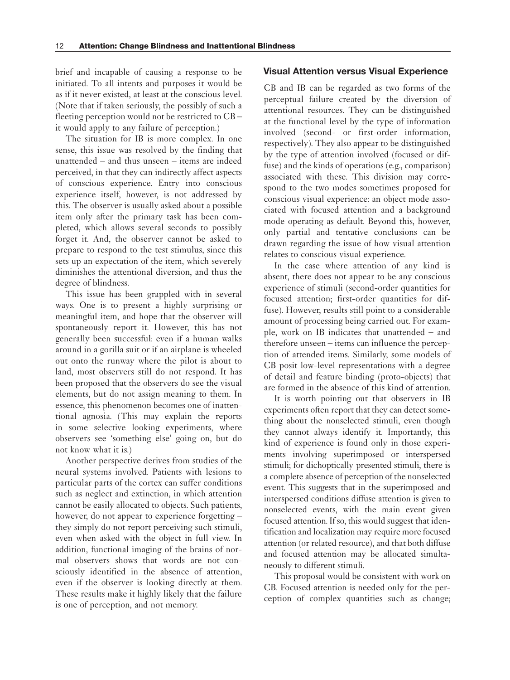brief and incapable of causing a response to be initiated. To all intents and purposes it would be as if it never existed, at least at the conscious level. (Note that if taken seriously, the possibly of such a fleeting perception would not be restricted to CB – it would apply to any failure of perception.)

The situation for IB is more complex. In one sense, this issue was resolved by the finding that unattended – and thus unseen – items are indeed perceived, in that they can indirectly affect aspects of conscious experience. Entry into conscious experience itself, however, is not addressed by this. The observer is usually asked about a possible item only after the primary task has been completed, which allows several seconds to possibly forget it. And, the observer cannot be asked to prepare to respond to the test stimulus, since this sets up an expectation of the item, which severely diminishes the attentional diversion, and thus the degree of blindness.

This issue has been grappled with in several ways. One is to present a highly surprising or meaningful item, and hope that the observer will spontaneously report it. However, this has not generally been successful: even if a human walks around in a gorilla suit or if an airplane is wheeled out onto the runway where the pilot is about to land, most observers still do not respond. It has been proposed that the observers do see the visual elements, but do not assign meaning to them. In essence, this phenomenon becomes one of inattentional agnosia. (This may explain the reports in some selective looking experiments, where observers see 'something else' going on, but do not know what it is.)

Another perspective derives from studies of the neural systems involved. Patients with lesions to particular parts of the cortex can suffer conditions such as neglect and extinction, in which attention cannot be easily allocated to objects. Such patients, however, do not appear to experience forgetting – they simply do not report perceiving such stimuli, even when asked with the object in full view. In addition, functional imaging of the brains of normal observers shows that words are not consciously identified in the absence of attention, even if the observer is looking directly at them. These results make it highly likely that the failure is one of perception, and not memory.

### Visual Attention versus Visual Experience

CB and IB can be regarded as two forms of the perceptual failure created by the diversion of attentional resources. They can be distinguished at the functional level by the type of information involved (second- or first-order information, respectively). They also appear to be distinguished by the type of attention involved (focused or diffuse) and the kinds of operations (e.g., comparison) associated with these. This division may correspond to the two modes sometimes proposed for conscious visual experience: an object mode associated with focused attention and a background mode operating as default. Beyond this, however, only partial and tentative conclusions can be drawn regarding the issue of how visual attention relates to conscious visual experience.

In the case where attention of any kind is absent, there does not appear to be any conscious experience of stimuli (second-order quantities for focused attention; first-order quantities for diffuse). However, results still point to a considerable amount of processing being carried out. For example, work on IB indicates that unattended – and therefore unseen – items can influence the perception of attended items. Similarly, some models of CB posit low-level representations with a degree of detail and feature binding (proto-objects) that are formed in the absence of this kind of attention.

It is worth pointing out that observers in IB experiments often report that they can detect something about the nonselected stimuli, even though they cannot always identify it. Importantly, this kind of experience is found only in those experiments involving superimposed or interspersed stimuli; for dichoptically presented stimuli, there is a complete absence of perception of the nonselected event. This suggests that in the superimposed and interspersed conditions diffuse attention is given to nonselected events, with the main event given focused attention. If so, this would suggest that identification and localization may require more focused attention (or related resource), and that both diffuse and focused attention may be allocated simultaneously to different stimuli.

This proposal would be consistent with work on CB. Focused attention is needed only for the perception of complex quantities such as change;